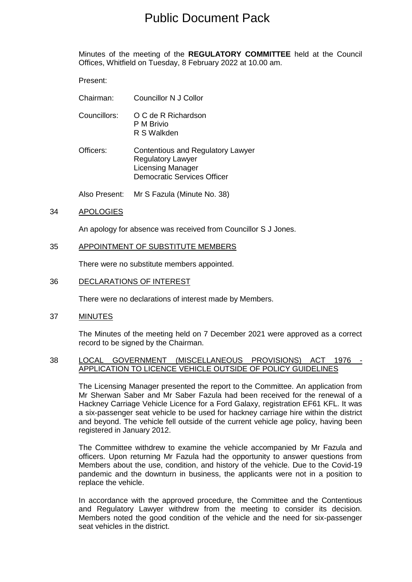# Public Document Pack

Minutes of the meeting of the **REGULATORY COMMITTEE** held at the Council Offices, Whitfield on Tuesday, 8 February 2022 at 10.00 am.

Present:

- Chairman: Councillor N J Collor
- Councillors: O C de R Richardson P M Brivio R S Walkden
- Officers: Contentious and Regulatory Lawyer Regulatory Lawyer Licensing Manager Democratic Services Officer

Also Present: Mr S Fazula (Minute No. 38)

## 34 APOLOGIES

An apology for absence was received from Councillor S J Jones.

### 35 APPOINTMENT OF SUBSTITUTE MEMBERS

There were no substitute members appointed.

### 36 DECLARATIONS OF INTEREST

There were no declarations of interest made by Members.

37 MINUTES

The Minutes of the meeting held on 7 December 2021 were approved as a correct record to be signed by the Chairman.

#### 38 LOCAL GOVERNMENT (MISCELLANEOUS PROVISIONS) ACT 1976 APPLICATION TO LICENCE VEHICLE OUTSIDE OF POLICY GUIDELINES

The Licensing Manager presented the report to the Committee. An application from Mr Sherwan Saber and Mr Saber Fazula had been received for the renewal of a Hackney Carriage Vehicle Licence for a Ford Galaxy, registration EF61 KFL. It was a six-passenger seat vehicle to be used for hackney carriage hire within the district and beyond. The vehicle fell outside of the current vehicle age policy, having been registered in January 2012.

The Committee withdrew to examine the vehicle accompanied by Mr Fazula and officers. Upon returning Mr Fazula had the opportunity to answer questions from Members about the use, condition, and history of the vehicle. Due to the Covid-19 pandemic and the downturn in business, the applicants were not in a position to replace the vehicle.

In accordance with the approved procedure, the Committee and the Contentious and Regulatory Lawyer withdrew from the meeting to consider its decision. Members noted the good condition of the vehicle and the need for six-passenger seat vehicles in the district.